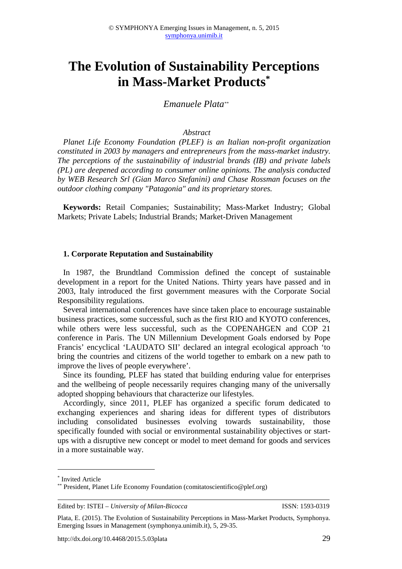# **The Evolution of Sustainability Perceptions in Mass-Market Products\***

*Emanuele Plata\*\**

#### *Abstract*

*Planet Life Economy Foundation (PLEF) is an Italian non-profit organization constituted in 2003 by managers and entrepreneurs from the mass-market industry. The perceptions of the sustainability of industrial brands (IB) and private labels (PL) are deepened according to consumer online opinions. The analysis conducted by WEB Research Srl (Gian Marco Stefanini) and Chase Rossman focuses on the outdoor clothing company "Patagonia" and its proprietary stores.* 

**Keywords:** Retail Companies; Sustainability; Mass-Market Industry; Global Markets; Private Labels; Industrial Brands; Market-Driven Management

#### **1. Corporate Reputation and Sustainability**

In 1987, the Brundtland Commission defined the concept of sustainable development in a report for the United Nations. Thirty years have passed and in 2003, Italy introduced the first government measures with the Corporate Social Responsibility regulations.

Several international conferences have since taken place to encourage sustainable business practices, some successful, such as the first RIO and KYOTO conferences, while others were less successful, such as the COPENAHGEN and COP 21 conference in Paris. The UN Millennium Development Goals endorsed by Pope Francis' encyclical 'LAUDATO SII' declared an integral ecological approach 'to bring the countries and citizens of the world together to embark on a new path to improve the lives of people everywhere'.

Since its founding, PLEF has stated that building enduring value for enterprises and the wellbeing of people necessarily requires changing many of the universally adopted shopping behaviours that characterize our lifestyles.

Accordingly, since 2011, PLEF has organized a specific forum dedicated to exchanging experiences and sharing ideas for different types of distributors including consolidated businesses evolving towards sustainability, those specifically founded with social or environmental sustainability objectives or startups with a disruptive new concept or model to meet demand for goods and services in a more sustainable way.

 $\overline{a}$ 

<sup>\*</sup> Invited Article

<sup>\*\*</sup> President, Planet Life Economy Foundation (comitatoscientifico@plef.org)

Edited by: ISTEI – *University of Milan-Bicocca* ISSN: 1593-0319

Plata, E. (2015). The Evolution of Sustainability Perceptions in Mass-Market Products, Symphonya. Emerging Issues in Management (symphonya.unimib.it), 5, 29-35.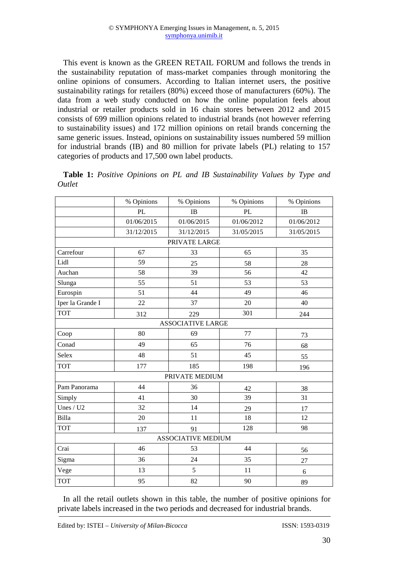This event is known as the GREEN RETAIL FORUM and follows the trends in the sustainability reputation of mass-market companies through monitoring the online opinions of consumers. According to Italian internet users, the positive sustainability ratings for retailers (80%) exceed those of manufacturers (60%). The data from a web study conducted on how the online population feels about industrial or retailer products sold in 16 chain stores between 2012 and 2015 consists of 699 million opinions related to industrial brands (not however referring to sustainability issues) and 172 million opinions on retail brands concerning the same generic issues. Instead, opinions on sustainability issues numbered 59 million for industrial brands (IB) and 80 million for private labels (PL) relating to 157 categories of products and 17,500 own label products.

|                  | % Opinions | % Opinions                | % Opinions | % Opinions |  |
|------------------|------------|---------------------------|------------|------------|--|
|                  | PL         | IB                        | <b>PL</b>  | IB         |  |
|                  | 01/06/2015 | 01/06/2015                | 01/06/2012 | 01/06/2012 |  |
|                  | 31/12/2015 | 31/12/2015                | 31/05/2015 | 31/05/2015 |  |
|                  |            | PRIVATE LARGE             |            |            |  |
| Carrefour        | 67         | 33                        | 65         | 35         |  |
| Lidl             | 59         | 25                        | 58         | 28         |  |
| Auchan           | 58         | 39                        | 56         | 42         |  |
| Slunga           | 55         | 51                        | 53         | 53         |  |
| Eurospin         | 51         | 44                        | 49         | 46         |  |
| Iper la Grande I | 22         | 37                        | 20         | 40         |  |
| <b>TOT</b>       | 312        | 229                       | 301        | 244        |  |
|                  |            | <b>ASSOCIATIVE LARGE</b>  |            |            |  |
| Coop             | 80         | 69                        | 77         | 73         |  |
| Conad            | 49         | 65                        | 76         | 68         |  |
| Selex            | 48         | 51                        | 45         | 55         |  |
| <b>TOT</b>       | 177        | 185                       | 198        | 196        |  |
|                  |            | PRIVATE MEDIUM            |            |            |  |
| Pam Panorama     | 44         | 36                        | 42         | 38         |  |
| Simply           | 41         | 30                        | 39         | 31         |  |
| Unes / $U2$      | 32         | 14                        | 29         | 17         |  |
| Billa            | 20         | 11                        | 18         | 12         |  |
| <b>TOT</b>       | 137        | 91                        | 128        | 98         |  |
|                  |            | <b>ASSOCIATIVE MEDIUM</b> |            |            |  |
| Crai             | 46         | 53                        | 44         | 56         |  |
| Sigma            | 36         | 24                        | 35         | 27         |  |
| Vege             | 13         | 5                         | 11         | 6          |  |
| <b>TOT</b>       | 95         | 82                        | 90<br>89   |            |  |

**Table 1:** *Positive Opinions on PL and IB Sustainability Values by Type and Outlet* 

In all the retail outlets shown in this table, the number of positive opinions for private labels increased in the two periods and decreased for industrial brands.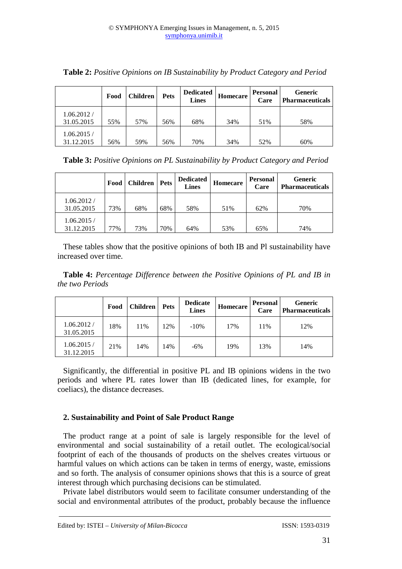|                          | Food | Children | <b>Pets</b> | <b>Dedicated</b><br>Lines | Homecare | <b>Personal</b><br>Care | <b>Generic</b><br><b>Pharmaceuticals</b> |
|--------------------------|------|----------|-------------|---------------------------|----------|-------------------------|------------------------------------------|
| 1.06.2012/<br>31.05.2015 | 55%  | 57%      | 56%         | 68%                       | 34%      | 51%                     | 58%                                      |
| 1.06.2015/<br>31.12.2015 | 56%  | 59%      | 56%         | 70%                       | 34%      | 52%                     | 60%                                      |

**Table 2:** *Positive Opinions on IB Sustainability by Product Category and Period* 

| Table 3: Positive Opinions on PL Sustainability by Product Category and Period |  |  |  |
|--------------------------------------------------------------------------------|--|--|--|
|                                                                                |  |  |  |

|                          | Food | Children | <b>Pets</b> | <b>Dedicated</b><br><b>Lines</b> | Homecare | <b>Personal</b><br>Care | <b>Generic</b><br><b>Pharmaceuticals</b> |
|--------------------------|------|----------|-------------|----------------------------------|----------|-------------------------|------------------------------------------|
| 1.06.2012/<br>31.05.2015 | 73%  | 68%      | 68%         | 58%                              | 51%      | 62%                     | 70%                                      |
| 1.06.2015/<br>31.12.2015 | 77%  | 73%      | 70%         | 64%                              | 53%      | 65%                     | 74%                                      |

These tables show that the positive opinions of both IB and Pl sustainability have increased over time.

**Table 4:** *Percentage Difference between the Positive Opinions of PL and IB in the two Periods* 

|                          | Food | <b>Children</b> | <b>Pets</b> | <b>Dedicate</b><br><b>Lines</b> | Homecare | <b>Personal</b><br>Care | <b>Generic</b><br><b>Pharmaceuticals</b> |
|--------------------------|------|-----------------|-------------|---------------------------------|----------|-------------------------|------------------------------------------|
| 1.06.2012/<br>31.05.2015 | 18%  | 11%             | 12%         | $-10%$                          | 17%      | 11%                     | 12%                                      |
| 1.06.2015/<br>31.12.2015 | 21%  | 14%             | 14%         | $-6%$                           | 19%      | 13%                     | 14%                                      |

Significantly, the differential in positive PL and IB opinions widens in the two periods and where PL rates lower than IB (dedicated lines, for example, for coeliacs), the distance decreases.

## **2. Sustainability and Point of Sale Product Range**

The product range at a point of sale is largely responsible for the level of environmental and social sustainability of a retail outlet. The ecological/social footprint of each of the thousands of products on the shelves creates virtuous or harmful values on which actions can be taken in terms of energy, waste, emissions and so forth. The analysis of consumer opinions shows that this is a source of great interest through which purchasing decisions can be stimulated.

Private label distributors would seem to facilitate consumer understanding of the social and environmental attributes of the product, probably because the influence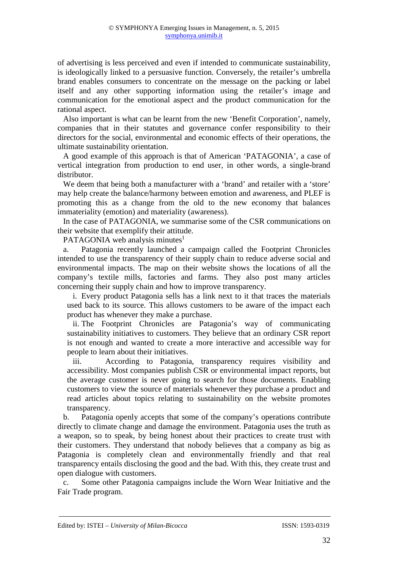of advertising is less perceived and even if intended to communicate sustainability, is ideologically linked to a persuasive function. Conversely, the retailer's umbrella brand enables consumers to concentrate on the message on the packing or label itself and any other supporting information using the retailer's image and communication for the emotional aspect and the product communication for the rational aspect.

Also important is what can be learnt from the new 'Benefit Corporation', namely, companies that in their statutes and governance confer responsibility to their directors for the social, environmental and economic effects of their operations, the ultimate sustainability orientation.

A good example of this approach is that of American 'PATAGONIA', a case of vertical integration from production to end user, in other words, a single-brand distributor.

We deem that being both a manufacturer with a 'brand' and retailer with a 'store' may help create the balance/harmony between emotion and awareness, and PLEF is promoting this as a change from the old to the new economy that balances immateriality (emotion) and materiality (awareness).

In the case of PATAGONIA, we summarise some of the CSR communications on their website that exemplify their attitude.

PATAGONIA web analysis minutes $<sup>1</sup>$ </sup>

a. Patagonia recently launched a campaign called the Footprint Chronicles intended to use the transparency of their supply chain to reduce adverse social and environmental impacts. The map on their website shows the locations of all the company's textile mills, factories and farms. They also post many articles concerning their supply chain and how to improve transparency.

i. Every product Patagonia sells has a link next to it that traces the materials used back to its source. This allows customers to be aware of the impact each product has whenever they make a purchase.

ii. The Footprint Chronicles are Patagonia's way of communicating sustainability initiatives to customers. They believe that an ordinary CSR report is not enough and wanted to create a more interactive and accessible way for people to learn about their initiatives.

iii. According to Patagonia, transparency requires visibility and accessibility. Most companies publish CSR or environmental impact reports, but the average customer is never going to search for those documents. Enabling customers to view the source of materials whenever they purchase a product and read articles about topics relating to sustainability on the website promotes transparency.

b. Patagonia openly accepts that some of the company's operations contribute directly to climate change and damage the environment. Patagonia uses the truth as a weapon, so to speak, by being honest about their practices to create trust with their customers. They understand that nobody believes that a company as big as Patagonia is completely clean and environmentally friendly and that real transparency entails disclosing the good and the bad. With this, they create trust and open dialogue with customers.

c. Some other Patagonia campaigns include the Worn Wear Initiative and the Fair Trade program.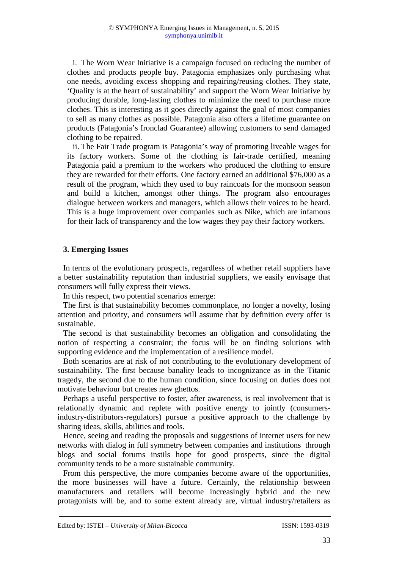i. The Worn Wear Initiative is a campaign focused on reducing the number of clothes and products people buy. Patagonia emphasizes only purchasing what one needs, avoiding excess shopping and repairing/reusing clothes. They state, 'Quality is at the heart of sustainability' and support the Worn Wear Initiative by producing durable, long-lasting clothes to minimize the need to purchase more clothes. This is interesting as it goes directly against the goal of most companies to sell as many clothes as possible. Patagonia also offers a lifetime guarantee on products (Patagonia's Ironclad Guarantee) allowing customers to send damaged clothing to be repaired.

ii. The Fair Trade program is Patagonia's way of promoting liveable wages for its factory workers. Some of the clothing is fair-trade certified, meaning Patagonia paid a premium to the workers who produced the clothing to ensure they are rewarded for their efforts. One factory earned an additional \$76,000 as a result of the program, which they used to buy raincoats for the monsoon season and build a kitchen, amongst other things. The program also encourages dialogue between workers and managers, which allows their voices to be heard. This is a huge improvement over companies such as Nike, which are infamous for their lack of transparency and the low wages they pay their factory workers.

## **3. Emerging Issues**

In terms of the evolutionary prospects, regardless of whether retail suppliers have a better sustainability reputation than industrial suppliers, we easily envisage that consumers will fully express their views.

In this respect, two potential scenarios emerge:

The first is that sustainability becomes commonplace, no longer a novelty, losing attention and priority, and consumers will assume that by definition every offer is sustainable.

The second is that sustainability becomes an obligation and consolidating the notion of respecting a constraint; the focus will be on finding solutions with supporting evidence and the implementation of a resilience model.

Both scenarios are at risk of not contributing to the evolutionary development of sustainability. The first because banality leads to incognizance as in the Titanic tragedy, the second due to the human condition, since focusing on duties does not motivate behaviour but creates new ghettos.

Perhaps a useful perspective to foster, after awareness, is real involvement that is relationally dynamic and replete with positive energy to jointly (consumersindustry-distributors-regulators) pursue a positive approach to the challenge by sharing ideas, skills, abilities and tools.

Hence, seeing and reading the proposals and suggestions of internet users for new networks with dialog in full symmetry between companies and institutions through blogs and social forums instils hope for good prospects, since the digital community tends to be a more sustainable community.

From this perspective, the more companies become aware of the opportunities, the more businesses will have a future. Certainly, the relationship between manufacturers and retailers will become increasingly hybrid and the new protagonists will be, and to some extent already are, virtual industry/retailers as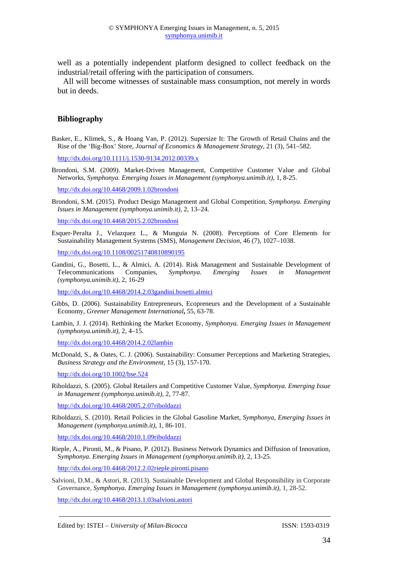well as a potentially independent platform designed to collect feedback on the industrial/retail offering with the participation of consumers.

All will become witnesses of sustainable mass consumption, not merely in words but in deeds.

### **Bibliography**

Basker, E., Klimek, S., & Hoang Van, P. (2012). Supersize It: The Growth of Retail Chains and the Rise of the 'Big-Box' Store, *Journal of Economics & Management Strategy*, 21 (3), 541–582.

http://dx.doi.org/10.1111/j.1530-9134.2012.00339.x

Brondoni, S.M. (2009). Market-Driven Management, Competitive Customer Value and Global Networks, *Symphonya. Emerging Issues in Management (symphonya.unimib.it)*, 1, 8-25.

http://dx.doi.org/10.4468/2009.1.02brondoni

Brondoni, S.M. (2015). Product Design Management and Global Competition, *Symphonya. Emerging Issues in Management (symphonya.unimib.it)*, 2, 13–24.

http://dx.doi.org/10.4468/2015.2.02brondoni

Esquer‐Peralta J., Velazquez L., & Munguia N. (2008). Perceptions of Core Elements for Sustainability Management Systems (SMS), *Management Decision*, 46 (7), 1027–1038.

http://dx.doi.org/10.1108/00251740810890195

Gandini, G., Bosetti, L., & Almici, A. (2014). Risk Management and Sustainable Development of Telecommunications Companies, *Symphonya. Emerging Issues in Management (symphonya.unimib.it)*, 2, 16-29

http://dx.doi.org/10.4468/2014.2.03gandini.bosetti.almici

- Gibbs, D. (2006). Sustainability Entrepreneurs, Ecopreneurs and the Development of a Sustainable Economy, *Greener Management International***,** 55, 63-78.
- Lambin, J. J. (2014). Rethinking the Market Economy, *Symphonya. Emerging Issues in Management (symphonya.unimib.it)*, 2, 4–15.

http://dx.doi.org/10.4468/2014.2.02lambin

McDonald, S., & Oates, C. J. (2006). Sustainability: Consumer Perceptions and Marketing Strategies, *Business Strategy and the Environment*, 15 (3), 157-170.

http://dx.doi.org/10.1002/bse.524

Riboldazzi, S. (2005). Global Retailers and Competitive Customer Value, *Symphonya. Emerging Issue in Management (symphonya.unimib.it)*, 2, 77-87.

http://dx.doi.org/10.4468/2005.2.07riboldazzi

Riboldazzi, S. (2010). Retail Policies in the Global Gasoline Market, *Symphonya, Emerging Issues in Management (symphonya.unimib.it)*, 1, 86-101.

http://dx.doi.org/10.4468/2010.1.09riboldazzi

Rieple, A., Pironti, M., & Pisano, P. (2012). Business Network Dynamics and Diffusion of Innovation, S*ymphonya. Emerging Issues in Management (symphonya.unimib.it)*, 2, 13-25.

http://dx.doi.org/10.4468/2012.2.02rieple.pironti.pisano

Salvioni, D.M., & Astori, R. (2013). Sustainable Development and Global Responsibility in Corporate Governance, *Symphonya. Emerging Issues in Management (symphonya.unimib.it),* 1, 28-52.

http://dx.doi.org/10.4468/2013.1.03salvioni.astori